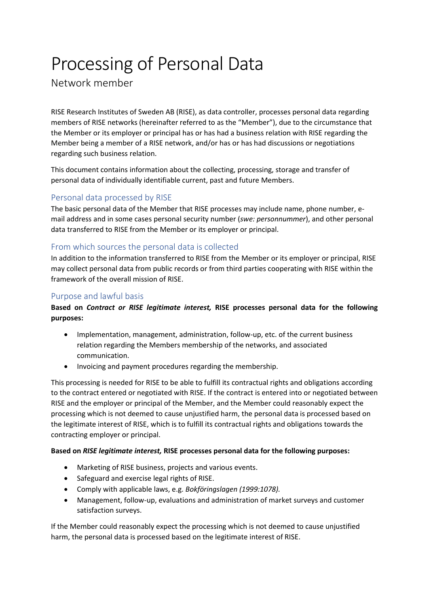# Processing of Personal Data

Network member

RISE Research Institutes of Sweden AB (RISE), as data controller, processes personal data regarding members of RISE networks (hereinafter referred to as the "Member"), due to the circumstance that the Member or its employer or principal has or has had a business relation with RISE regarding the Member being a member of a RISE network, and/or has or has had discussions or negotiations regarding such business relation.

This document contains information about the collecting, processing, storage and transfer of personal data of individually identifiable current, past and future Members.

# Personal data processed by RISE

The basic personal data of the Member that RISE processes may include name, phone number, email address and in some cases personal security number (*swe: personnummer*), and other personal data transferred to RISE from the Member or its employer or principal.

# From which sources the personal data is collected

In addition to the information transferred to RISE from the Member or its employer or principal, RISE may collect personal data from public records or from third parties cooperating with RISE within the framework of the overall mission of RISE.

## Purpose and lawful basis

### **Based on** *Contract or RISE legitimate interest,* **RISE processes personal data for the following purposes:**

- Implementation, management, administration, follow-up, etc. of the current business relation regarding the Members membership of the networks, and associated communication.
- Invoicing and payment procedures regarding the membership.

This processing is needed for RISE to be able to fulfill its contractual rights and obligations according to the contract entered or negotiated with RISE. If the contract is entered into or negotiated between RISE and the employer or principal of the Member, and the Member could reasonably expect the processing which is not deemed to cause unjustified harm, the personal data is processed based on the legitimate interest of RISE, which is to fulfill its contractual rights and obligations towards the contracting employer or principal.

### **Based on** *RISE legitimate interest,* **RISE processes personal data for the following purposes:**

- Marketing of RISE business, projects and various events.
- Safeguard and exercise legal rights of RISE.
- Comply with applicable laws, e.g. *Bokföringslagen (1999:1078).*
- Management, follow-up, evaluations and administration of market surveys and customer satisfaction surveys.

If the Member could reasonably expect the processing which is not deemed to cause unjustified harm, the personal data is processed based on the legitimate interest of RISE.